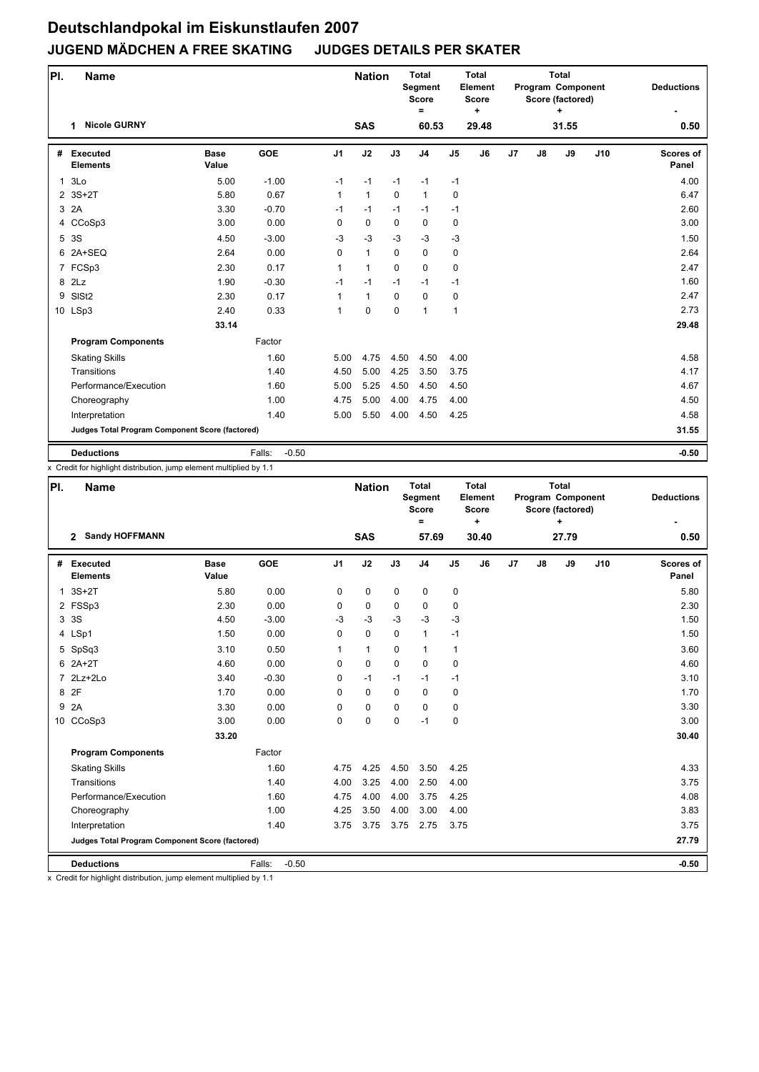| PI.          | <b>Name</b>                                     |                      |                   |                | <b>Nation</b> |             | <b>Total</b><br>Segment<br><b>Score</b><br>$\equiv$ |                | <b>Total</b><br>Element<br><b>Score</b><br>٠ |    |               | <b>Total</b><br>Program Component<br>Score (factored)<br>+ |     | <b>Deductions</b>  |
|--------------|-------------------------------------------------|----------------------|-------------------|----------------|---------------|-------------|-----------------------------------------------------|----------------|----------------------------------------------|----|---------------|------------------------------------------------------------|-----|--------------------|
|              | <b>Nicole GURNY</b><br>1                        |                      |                   |                | <b>SAS</b>    |             | 60.53                                               |                | 29.48                                        |    |               | 31.55                                                      |     | 0.50               |
| #            | <b>Executed</b><br><b>Elements</b>              | <b>Base</b><br>Value | <b>GOE</b>        | J <sub>1</sub> | J2            | J3          | J <sub>4</sub>                                      | J <sub>5</sub> | J6                                           | J7 | $\mathsf{J}8$ | J9                                                         | J10 | Scores of<br>Panel |
| $\mathbf{1}$ | 3Lo                                             | 5.00                 | $-1.00$           | $-1$           | $-1$          | $-1$        | $-1$                                                | $-1$           |                                              |    |               |                                                            |     | 4.00               |
|              | 2 3S+2T                                         | 5.80                 | 0.67              | $\mathbf{1}$   | $\mathbf{1}$  | $\mathbf 0$ | $\mathbf{1}$                                        | $\mathbf 0$    |                                              |    |               |                                                            |     | 6.47               |
|              | 3 2A                                            | 3.30                 | $-0.70$           | $-1$           | $-1$          | $-1$        | $-1$                                                | $-1$           |                                              |    |               |                                                            |     | 2.60               |
|              | 4 CCoSp3                                        | 3.00                 | 0.00              | $\Omega$       | $\mathbf 0$   | $\Omega$    | $\mathbf 0$                                         | 0              |                                              |    |               |                                                            |     | 3.00               |
|              | 5 3S                                            | 4.50                 | $-3.00$           | $-3$           | $-3$          | $-3$        | $-3$                                                | $-3$           |                                              |    |               |                                                            |     | 1.50               |
|              | 6 2A+SEQ                                        | 2.64                 | 0.00              | $\Omega$       | $\mathbf{1}$  | $\Omega$    | $\Omega$                                            | 0              |                                              |    |               |                                                            |     | 2.64               |
|              | 7 FCSp3                                         | 2.30                 | 0.17              | $\mathbf{1}$   | $\mathbf{1}$  | $\Omega$    | $\mathbf 0$                                         | 0              |                                              |    |               |                                                            |     | 2.47               |
|              | 8 2Lz                                           | 1.90                 | $-0.30$           | $-1$           | $-1$          | $-1$        | $-1$                                                | $-1$           |                                              |    |               |                                                            |     | 1.60               |
| 9            | SIS <sub>t2</sub>                               | 2.30                 | 0.17              | 1              | $\mathbf{1}$  | $\Omega$    | $\mathbf 0$                                         | 0              |                                              |    |               |                                                            |     | 2.47               |
|              | 10 LSp3                                         | 2.40                 | 0.33              | 1              | $\mathbf 0$   | $\mathbf 0$ | 1                                                   | $\mathbf{1}$   |                                              |    |               |                                                            |     | 2.73               |
|              |                                                 | 33.14                |                   |                |               |             |                                                     |                |                                              |    |               |                                                            |     | 29.48              |
|              | <b>Program Components</b>                       |                      | Factor            |                |               |             |                                                     |                |                                              |    |               |                                                            |     |                    |
|              | <b>Skating Skills</b>                           |                      | 1.60              | 5.00           | 4.75          | 4.50        | 4.50                                                | 4.00           |                                              |    |               |                                                            |     | 4.58               |
|              | Transitions                                     |                      | 1.40              | 4.50           | 5.00          | 4.25        | 3.50                                                | 3.75           |                                              |    |               |                                                            |     | 4.17               |
|              | Performance/Execution                           |                      | 1.60              | 5.00           | 5.25          | 4.50        | 4.50                                                | 4.50           |                                              |    |               |                                                            |     | 4.67               |
|              | Choreography                                    |                      | 1.00              | 4.75           | 5.00          | 4.00        | 4.75                                                | 4.00           |                                              |    |               |                                                            |     | 4.50               |
|              | Interpretation                                  |                      | 1.40              | 5.00           | 5.50          | 4.00        | 4.50                                                | 4.25           |                                              |    |               |                                                            |     | 4.58               |
|              | Judges Total Program Component Score (factored) |                      |                   |                |               |             |                                                     |                |                                              |    |               |                                                            |     | 31.55              |
|              | <b>Deductions</b>                               |                      | $-0.50$<br>Falls: |                |               |             |                                                     |                |                                              |    |               |                                                            |     | $-0.50$            |

x Credit for highlight distribution, jump element multiplied by 1.1

| PI. | <b>Name</b>                                     |                      |                   |                | <b>Nation</b> |             | <b>Total</b><br>Segment<br><b>Score</b><br>$\equiv$ |                | <b>Total</b><br>Element<br><b>Score</b><br>$\ddot{}$ |    |    | <b>Total</b><br>Program Component<br>Score (factored)<br>$\ddot{}$ |     | <b>Deductions</b>         |
|-----|-------------------------------------------------|----------------------|-------------------|----------------|---------------|-------------|-----------------------------------------------------|----------------|------------------------------------------------------|----|----|--------------------------------------------------------------------|-----|---------------------------|
|     | <b>Sandy HOFFMANN</b><br>$\mathbf{2}$           |                      |                   |                | <b>SAS</b>    |             | 57.69                                               |                | 30.40                                                |    |    | 27.79                                                              |     | 0.50                      |
| #   | <b>Executed</b><br><b>Elements</b>              | <b>Base</b><br>Value | <b>GOE</b>        | J <sub>1</sub> | J2            | J3          | J <sub>4</sub>                                      | J <sub>5</sub> | J6                                                   | J7 | J8 | J9                                                                 | J10 | <b>Scores of</b><br>Panel |
|     | $1.3S+2T$                                       | 5.80                 | 0.00              | 0              | 0             | $\mathbf 0$ | $\mathbf 0$                                         | 0              |                                                      |    |    |                                                                    |     | 5.80                      |
|     | 2 FSSp3                                         | 2.30                 | 0.00              | $\Omega$       | 0             | $\Omega$    | $\mathbf 0$                                         | 0              |                                                      |    |    |                                                                    |     | 2.30                      |
|     | 3 3 S                                           | 4.50                 | $-3.00$           | $-3$           | $-3$          | $-3$        | $-3$                                                | $-3$           |                                                      |    |    |                                                                    |     | 1.50                      |
|     | 4 LSp1                                          | 1.50                 | 0.00              | 0              | 0             | $\mathbf 0$ | $\mathbf{1}$                                        | $-1$           |                                                      |    |    |                                                                    |     | 1.50                      |
|     | 5 SpSq3                                         | 3.10                 | 0.50              | 1              | $\mathbf{1}$  | $\Omega$    | $\mathbf{1}$                                        | $\mathbf{1}$   |                                                      |    |    |                                                                    |     | 3.60                      |
|     | $6$ $2A+2T$                                     | 4.60                 | 0.00              | $\Omega$       | 0             | $\Omega$    | $\mathbf 0$                                         | 0              |                                                      |    |    |                                                                    |     | 4.60                      |
|     | 7 2Lz+2Lo                                       | 3.40                 | $-0.30$           | 0              | $-1$          | $-1$        | $-1$                                                | $-1$           |                                                      |    |    |                                                                    |     | 3.10                      |
|     | 8 2F                                            | 1.70                 | 0.00              | $\Omega$       | $\Omega$      | $\Omega$    | $\Omega$                                            | 0              |                                                      |    |    |                                                                    |     | 1.70                      |
| 9   | 2A                                              | 3.30                 | 0.00              | $\Omega$       | 0             | $\Omega$    | $\mathbf 0$                                         | 0              |                                                      |    |    |                                                                    |     | 3.30                      |
|     | 10 CCoSp3                                       | 3.00                 | 0.00              | $\Omega$       | 0             | $\Omega$    | $-1$                                                | 0              |                                                      |    |    |                                                                    |     | 3.00                      |
|     |                                                 | 33.20                |                   |                |               |             |                                                     |                |                                                      |    |    |                                                                    |     | 30.40                     |
|     | <b>Program Components</b>                       |                      | Factor            |                |               |             |                                                     |                |                                                      |    |    |                                                                    |     |                           |
|     | <b>Skating Skills</b>                           |                      | 1.60              | 4.75           | 4.25          | 4.50        | 3.50                                                | 4.25           |                                                      |    |    |                                                                    |     | 4.33                      |
|     | Transitions                                     |                      | 1.40              | 4.00           | 3.25          | 4.00        | 2.50                                                | 4.00           |                                                      |    |    |                                                                    |     | 3.75                      |
|     | Performance/Execution                           |                      | 1.60              | 4.75           | 4.00          | 4.00        | 3.75                                                | 4.25           |                                                      |    |    |                                                                    |     | 4.08                      |
|     | Choreography                                    |                      | 1.00              | 4.25           | 3.50          | 4.00        | 3.00                                                | 4.00           |                                                      |    |    |                                                                    |     | 3.83                      |
|     | Interpretation                                  |                      | 1.40              | 3.75           | 3.75          | 3.75        | 2.75                                                | 3.75           |                                                      |    |    |                                                                    |     | 3.75                      |
|     | Judges Total Program Component Score (factored) |                      |                   |                |               |             |                                                     |                |                                                      |    |    |                                                                    |     | 27.79                     |
|     | <b>Deductions</b>                               |                      | $-0.50$<br>Falls: |                |               |             |                                                     |                |                                                      |    |    |                                                                    |     | $-0.50$                   |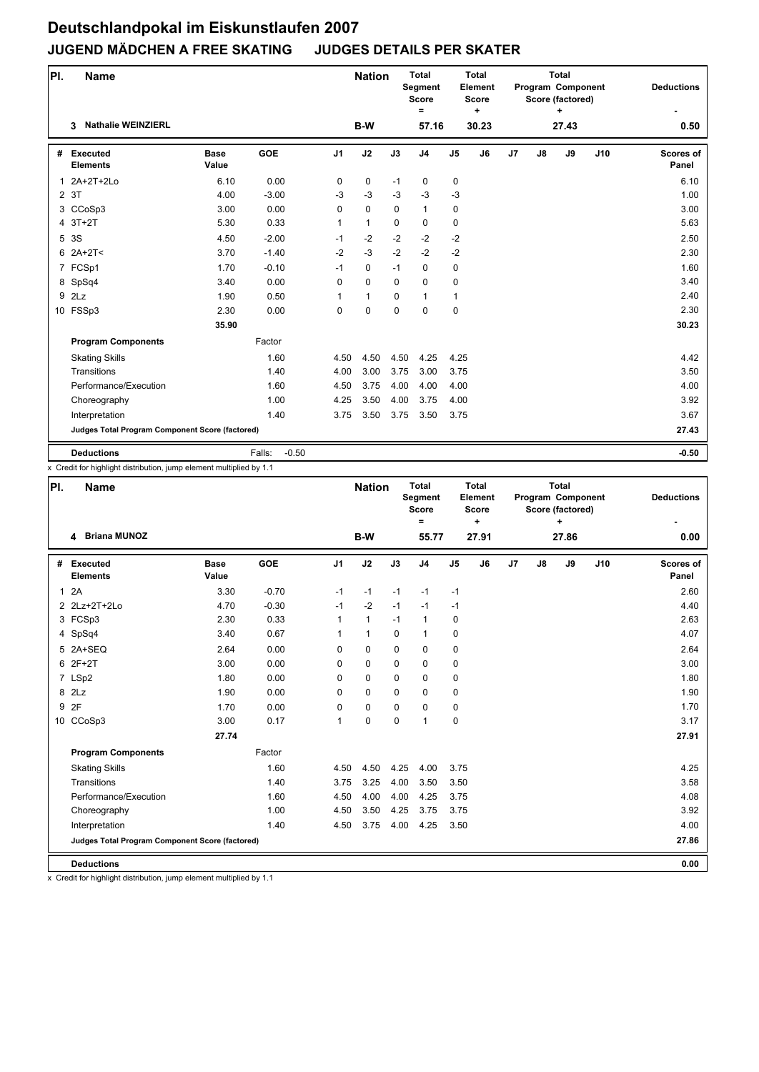| PI.            | <b>Name</b>                                     |                      |                   |                | <b>Nation</b> |          | <b>Total</b><br>Segment<br><b>Score</b><br>$\equiv$ |                | <b>Total</b><br>Element<br><b>Score</b><br>٠ |    |               | <b>Total</b><br>Program Component<br>Score (factored)<br>÷ |     | <b>Deductions</b>  |
|----------------|-------------------------------------------------|----------------------|-------------------|----------------|---------------|----------|-----------------------------------------------------|----------------|----------------------------------------------|----|---------------|------------------------------------------------------------|-----|--------------------|
|                | <b>Nathalie WEINZIERL</b><br>3                  |                      |                   |                | B-W           |          | 57.16                                               |                | 30.23                                        |    |               | 27.43                                                      |     | 0.50               |
| #              | <b>Executed</b><br><b>Elements</b>              | <b>Base</b><br>Value | <b>GOE</b>        | J <sub>1</sub> | J2            | J3       | J <sub>4</sub>                                      | J <sub>5</sub> | J6                                           | J7 | $\mathsf{J}8$ | J9                                                         | J10 | Scores of<br>Panel |
| $\mathbf{1}$   | 2A+2T+2Lo                                       | 6.10                 | 0.00              | 0              | 0             | $-1$     | $\mathbf 0$                                         | 0              |                                              |    |               |                                                            |     | 6.10               |
| $\overline{2}$ | 3T                                              | 4.00                 | $-3.00$           | $-3$           | $-3$          | $-3$     | $-3$                                                | $-3$           |                                              |    |               |                                                            |     | 1.00               |
|                | 3 CCoSp3                                        | 3.00                 | 0.00              | $\Omega$       | $\Omega$      | $\Omega$ | $\mathbf{1}$                                        | 0              |                                              |    |               |                                                            |     | 3.00               |
| 4              | $3T+2T$                                         | 5.30                 | 0.33              | $\mathbf{1}$   | $\mathbf{1}$  | $\Omega$ | $\mathbf 0$                                         | 0              |                                              |    |               |                                                            |     | 5.63               |
|                | 5 3S                                            | 4.50                 | $-2.00$           | $-1$           | $-2$          | $-2$     | $-2$                                                | $-2$           |                                              |    |               |                                                            |     | 2.50               |
| 6              | 2A+2T<                                          | 3.70                 | $-1.40$           | $-2$           | $-3$          | $-2$     | $-2$                                                | $-2$           |                                              |    |               |                                                            |     | 2.30               |
|                | 7 FCSp1                                         | 1.70                 | $-0.10$           | $-1$           | 0             | $-1$     | $\mathbf 0$                                         | 0              |                                              |    |               |                                                            |     | 1.60               |
|                | 8 SpSq4                                         | 3.40                 | 0.00              | $\Omega$       | $\Omega$      | $\Omega$ | $\Omega$                                            | 0              |                                              |    |               |                                                            |     | 3.40               |
| 9              | 2Lz                                             | 1.90                 | 0.50              | 1              | $\mathbf{1}$  | $\Omega$ | $\mathbf{1}$                                        | $\mathbf{1}$   |                                              |    |               |                                                            |     | 2.40               |
|                | 10 FSSp3                                        | 2.30                 | 0.00              | 0              | 0             | 0        | $\mathbf 0$                                         | 0              |                                              |    |               |                                                            |     | 2.30               |
|                |                                                 | 35.90                |                   |                |               |          |                                                     |                |                                              |    |               |                                                            |     | 30.23              |
|                | <b>Program Components</b>                       |                      | Factor            |                |               |          |                                                     |                |                                              |    |               |                                                            |     |                    |
|                | <b>Skating Skills</b>                           |                      | 1.60              | 4.50           | 4.50          | 4.50     | 4.25                                                | 4.25           |                                              |    |               |                                                            |     | 4.42               |
|                | Transitions                                     |                      | 1.40              | 4.00           | 3.00          | 3.75     | 3.00                                                | 3.75           |                                              |    |               |                                                            |     | 3.50               |
|                | Performance/Execution                           |                      | 1.60              | 4.50           | 3.75          | 4.00     | 4.00                                                | 4.00           |                                              |    |               |                                                            |     | 4.00               |
|                | Choreography                                    |                      | 1.00              | 4.25           | 3.50          | 4.00     | 3.75                                                | 4.00           |                                              |    |               |                                                            |     | 3.92               |
|                | Interpretation                                  |                      | 1.40              | 3.75           | 3.50          | 3.75     | 3.50                                                | 3.75           |                                              |    |               |                                                            |     | 3.67               |
|                | Judges Total Program Component Score (factored) |                      |                   |                |               |          |                                                     |                |                                              |    |               |                                                            |     | 27.43              |
|                | <b>Deductions</b>                               |                      | $-0.50$<br>Falls: |                |               |          |                                                     |                |                                              |    |               |                                                            |     | $-0.50$            |

x Credit for highlight distribution, jump element multiplied by 1.1

| PI.          | <b>Name</b>                                     |                      |            |                | <b>Nation</b> |             | <b>Total</b><br>Segment<br><b>Score</b><br>$\equiv$ |                | <b>Total</b><br>Element<br><b>Score</b><br>٠ |    |    | <b>Total</b><br>Program Component<br>Score (factored)<br>÷ |     | <b>Deductions</b>         |
|--------------|-------------------------------------------------|----------------------|------------|----------------|---------------|-------------|-----------------------------------------------------|----------------|----------------------------------------------|----|----|------------------------------------------------------------|-----|---------------------------|
|              | <b>Briana MUNOZ</b><br>4                        |                      |            |                | B-W           |             | 55.77                                               |                | 27.91                                        |    |    | 27.86                                                      |     | 0.00                      |
| #            | Executed<br><b>Elements</b>                     | <b>Base</b><br>Value | <b>GOE</b> | J <sub>1</sub> | J2            | J3          | J <sub>4</sub>                                      | J <sub>5</sub> | J6                                           | J7 | J8 | J9                                                         | J10 | <b>Scores of</b><br>Panel |
| $\mathbf{1}$ | 2A                                              | 3.30                 | $-0.70$    | $-1$           | $-1$          | $-1$        | $-1$                                                | $-1$           |                                              |    |    |                                                            |     | 2.60                      |
|              | 2 2Lz+2T+2Lo                                    | 4.70                 | $-0.30$    | $-1$           | $-2$          | $-1$        | $-1$                                                | $-1$           |                                              |    |    |                                                            |     | 4.40                      |
|              | 3 FCSp3                                         | 2.30                 | 0.33       | 1              | $\mathbf{1}$  | $-1$        | $\mathbf{1}$                                        | 0              |                                              |    |    |                                                            |     | 2.63                      |
|              | 4 SpSq4                                         | 3.40                 | 0.67       | $\mathbf{1}$   | $\mathbf{1}$  | $\mathbf 0$ | $\mathbf{1}$                                        | 0              |                                              |    |    |                                                            |     | 4.07                      |
|              | 5 2A+SEQ                                        | 2.64                 | 0.00       | $\Omega$       | $\mathbf 0$   | $\mathbf 0$ | $\mathbf 0$                                         | 0              |                                              |    |    |                                                            |     | 2.64                      |
|              | 6 2F+2T                                         | 3.00                 | 0.00       | $\mathbf 0$    | 0             | $\mathbf 0$ | 0                                                   | 0              |                                              |    |    |                                                            |     | 3.00                      |
|              | 7 LSp2                                          | 1.80                 | 0.00       | $\Omega$       | $\mathbf 0$   | $\Omega$    | $\mathbf 0$                                         | 0              |                                              |    |    |                                                            |     | 1.80                      |
|              | 8 2Lz                                           | 1.90                 | 0.00       | $\Omega$       | 0             | $\mathbf 0$ | $\mathbf 0$                                         | 0              |                                              |    |    |                                                            |     | 1.90                      |
| 9            | 2F                                              | 1.70                 | 0.00       | $\mathbf 0$    | $\mathbf 0$   | $\mathbf 0$ | 0                                                   | 0              |                                              |    |    |                                                            |     | 1.70                      |
|              | 10 CCoSp3                                       | 3.00                 | 0.17       | 1              | 0             | $\mathbf 0$ | $\mathbf{1}$                                        | 0              |                                              |    |    |                                                            |     | 3.17                      |
|              |                                                 | 27.74                |            |                |               |             |                                                     |                |                                              |    |    |                                                            |     | 27.91                     |
|              | <b>Program Components</b>                       |                      | Factor     |                |               |             |                                                     |                |                                              |    |    |                                                            |     |                           |
|              | <b>Skating Skills</b>                           |                      | 1.60       | 4.50           | 4.50          | 4.25        | 4.00                                                | 3.75           |                                              |    |    |                                                            |     | 4.25                      |
|              | Transitions                                     |                      | 1.40       | 3.75           | 3.25          | 4.00        | 3.50                                                | 3.50           |                                              |    |    |                                                            |     | 3.58                      |
|              | Performance/Execution                           |                      | 1.60       | 4.50           | 4.00          | 4.00        | 4.25                                                | 3.75           |                                              |    |    |                                                            |     | 4.08                      |
|              | Choreography                                    |                      | 1.00       | 4.50           | 3.50          | 4.25        | 3.75                                                | 3.75           |                                              |    |    |                                                            |     | 3.92                      |
|              | Interpretation                                  |                      | 1.40       | 4.50           | 3.75          | 4.00        | 4.25                                                | 3.50           |                                              |    |    |                                                            |     | 4.00                      |
|              | Judges Total Program Component Score (factored) |                      |            |                |               |             |                                                     |                |                                              |    |    |                                                            |     | 27.86                     |
|              | <b>Deductions</b>                               |                      |            |                |               |             |                                                     |                |                                              |    |    |                                                            |     | 0.00                      |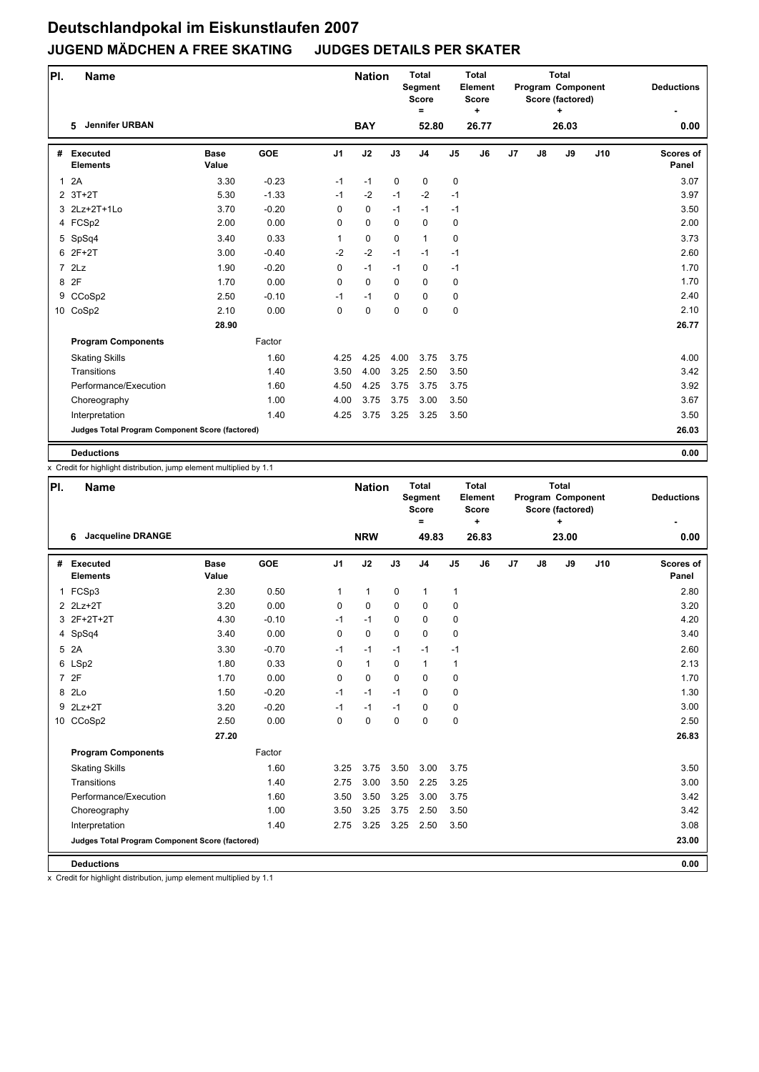| PI.          | <b>Name</b>                                     |                      |            |                | <b>Nation</b> |             | <b>Total</b><br>Segment<br><b>Score</b><br>$\equiv$ |                | <b>Total</b><br>Element<br><b>Score</b><br>٠ |    |               | <b>Total</b><br>Program Component<br>Score (factored)<br>٠ |     | <b>Deductions</b>  |
|--------------|-------------------------------------------------|----------------------|------------|----------------|---------------|-------------|-----------------------------------------------------|----------------|----------------------------------------------|----|---------------|------------------------------------------------------------|-----|--------------------|
|              | <b>Jennifer URBAN</b><br>5                      |                      |            |                | <b>BAY</b>    |             | 52.80                                               |                | 26.77                                        |    |               | 26.03                                                      |     | 0.00               |
| #            | Executed<br><b>Elements</b>                     | <b>Base</b><br>Value | <b>GOE</b> | J <sub>1</sub> | J2            | J3          | J <sub>4</sub>                                      | J <sub>5</sub> | J6                                           | J7 | $\mathsf{J}8$ | J9                                                         | J10 | Scores of<br>Panel |
| $\mathbf{1}$ | 2A                                              | 3.30                 | $-0.23$    | $-1$           | $-1$          | $\mathbf 0$ | 0                                                   | 0              |                                              |    |               |                                                            |     | 3.07               |
|              | $2$ 3T+2T                                       | 5.30                 | $-1.33$    | $-1$           | $-2$          | $-1$        | $-2$                                                | $-1$           |                                              |    |               |                                                            |     | 3.97               |
|              | 3 2Lz+2T+1Lo                                    | 3.70                 | $-0.20$    | $\Omega$       | 0             | $-1$        | $-1$                                                | $-1$           |                                              |    |               |                                                            |     | 3.50               |
|              | 4 FCSp2                                         | 2.00                 | 0.00       | 0              | 0             | $\Omega$    | $\mathbf 0$                                         | 0              |                                              |    |               |                                                            |     | 2.00               |
|              | 5 SpSq4                                         | 3.40                 | 0.33       | $\mathbf{1}$   | 0             | $\mathbf 0$ | $\mathbf{1}$                                        | 0              |                                              |    |               |                                                            |     | 3.73               |
|              | 6 2F+2T                                         | 3.00                 | $-0.40$    | $-2$           | $-2$          | $-1$        | $-1$                                                | $-1$           |                                              |    |               |                                                            |     | 2.60               |
|              | 72Lz                                            | 1.90                 | $-0.20$    | 0              | $-1$          | $-1$        | $\mathbf 0$                                         | $-1$           |                                              |    |               |                                                            |     | 1.70               |
| 8            | 2F                                              | 1.70                 | 0.00       | 0              | 0             | $\mathbf 0$ | $\mathbf 0$                                         | 0              |                                              |    |               |                                                            |     | 1.70               |
| 9            | CCoSp2                                          | 2.50                 | $-0.10$    | $-1$           | $-1$          | $\mathbf 0$ | $\mathbf 0$                                         | 0              |                                              |    |               |                                                            |     | 2.40               |
|              | 10 CoSp2                                        | 2.10                 | 0.00       | 0              | 0             | 0           | $\mathbf 0$                                         | 0              |                                              |    |               |                                                            |     | 2.10               |
|              |                                                 | 28.90                |            |                |               |             |                                                     |                |                                              |    |               |                                                            |     | 26.77              |
|              | <b>Program Components</b>                       |                      | Factor     |                |               |             |                                                     |                |                                              |    |               |                                                            |     |                    |
|              | <b>Skating Skills</b>                           |                      | 1.60       | 4.25           | 4.25          | 4.00        | 3.75                                                | 3.75           |                                              |    |               |                                                            |     | 4.00               |
|              | Transitions                                     |                      | 1.40       | 3.50           | 4.00          | 3.25        | 2.50                                                | 3.50           |                                              |    |               |                                                            |     | 3.42               |
|              | Performance/Execution                           |                      | 1.60       | 4.50           | 4.25          | 3.75        | 3.75                                                | 3.75           |                                              |    |               |                                                            |     | 3.92               |
|              | Choreography                                    |                      | 1.00       | 4.00           | 3.75          | 3.75        | 3.00                                                | 3.50           |                                              |    |               |                                                            |     | 3.67               |
|              | Interpretation                                  |                      | 1.40       | 4.25           | 3.75          | 3.25        | 3.25                                                | 3.50           |                                              |    |               |                                                            |     | 3.50               |
|              | Judges Total Program Component Score (factored) |                      |            |                |               |             |                                                     |                |                                              |    |               |                                                            |     | 26.03              |
|              | <b>Deductions</b>                               |                      |            |                |               |             |                                                     |                |                                              |    |               |                                                            |     | 0.00               |

x Credit for highlight distribution, jump element multiplied by 1.1

| PI. | <b>Name</b>                                     |                      |            |                | <b>Nation</b> |             | <b>Total</b><br>Segment<br><b>Score</b><br>$\equiv$ |                | <b>Total</b><br>Element<br><b>Score</b><br>÷ |                |    | <b>Total</b><br>Program Component<br>Score (factored)<br>÷ |     | <b>Deductions</b>  |
|-----|-------------------------------------------------|----------------------|------------|----------------|---------------|-------------|-----------------------------------------------------|----------------|----------------------------------------------|----------------|----|------------------------------------------------------------|-----|--------------------|
|     | <b>Jacqueline DRANGE</b><br>6                   |                      |            |                | <b>NRW</b>    |             | 49.83                                               |                | 26.83                                        |                |    | 23.00                                                      |     | 0.00               |
| #   | <b>Executed</b><br><b>Elements</b>              | <b>Base</b><br>Value | <b>GOE</b> | J <sub>1</sub> | J2            | J3          | J <sub>4</sub>                                      | J <sub>5</sub> | J6                                           | J <sub>7</sub> | J8 | J9                                                         | J10 | Scores of<br>Panel |
|     | 1 FCSp3                                         | 2.30                 | 0.50       | 1              | $\mathbf{1}$  | $\mathbf 0$ | $\mathbf{1}$                                        | 1              |                                              |                |    |                                                            |     | 2.80               |
|     | 2 2Lz+2T                                        | 3.20                 | 0.00       | $\Omega$       | $\Omega$      | $\Omega$    | $\mathbf 0$                                         | 0              |                                              |                |    |                                                            |     | 3.20               |
|     | 3 2F+2T+2T                                      | 4.30                 | $-0.10$    | $-1$           | $-1$          | $\Omega$    | $\mathbf 0$                                         | 0              |                                              |                |    |                                                            |     | 4.20               |
| 4   | SpSq4                                           | 3.40                 | 0.00       | 0              | 0             | $\mathbf 0$ | $\mathbf 0$                                         | 0              |                                              |                |    |                                                            |     | 3.40               |
| 5   | 2A                                              | 3.30                 | $-0.70$    | $-1$           | $-1$          | $-1$        | $-1$                                                | $-1$           |                                              |                |    |                                                            |     | 2.60               |
|     | 6 LSp2                                          | 1.80                 | 0.33       | $\Omega$       | $\mathbf{1}$  | $\Omega$    | $\mathbf{1}$                                        | 1              |                                              |                |    |                                                            |     | 2.13               |
|     | 7 2F                                            | 1.70                 | 0.00       | $\Omega$       | 0             | $\Omega$    | $\Omega$                                            | 0              |                                              |                |    |                                                            |     | 1.70               |
|     | 8 2Lo                                           | 1.50                 | $-0.20$    | $-1$           | $-1$          | $-1$        | $\mathbf 0$                                         | 0              |                                              |                |    |                                                            |     | 1.30               |
| 9   | $2Lz+2T$                                        | 3.20                 | $-0.20$    | $-1$           | $-1$          | $-1$        | $\mathbf 0$                                         | 0              |                                              |                |    |                                                            |     | 3.00               |
|     | 10 CCoSp2                                       | 2.50                 | 0.00       | $\mathbf 0$    | 0             | $\mathbf 0$ | 0                                                   | 0              |                                              |                |    |                                                            |     | 2.50               |
|     |                                                 | 27.20                |            |                |               |             |                                                     |                |                                              |                |    |                                                            |     | 26.83              |
|     | <b>Program Components</b>                       |                      | Factor     |                |               |             |                                                     |                |                                              |                |    |                                                            |     |                    |
|     | <b>Skating Skills</b>                           |                      | 1.60       | 3.25           | 3.75          | 3.50        | 3.00                                                | 3.75           |                                              |                |    |                                                            |     | 3.50               |
|     | Transitions                                     |                      | 1.40       | 2.75           | 3.00          | 3.50        | 2.25                                                | 3.25           |                                              |                |    |                                                            |     | 3.00               |
|     | Performance/Execution                           |                      | 1.60       | 3.50           | 3.50          | 3.25        | 3.00                                                | 3.75           |                                              |                |    |                                                            |     | 3.42               |
|     | Choreography                                    |                      | 1.00       | 3.50           | 3.25          | 3.75        | 2.50                                                | 3.50           |                                              |                |    |                                                            |     | 3.42               |
|     | Interpretation                                  |                      | 1.40       | 2.75           | 3.25          | 3.25        | 2.50                                                | 3.50           |                                              |                |    |                                                            |     | 3.08               |
|     | Judges Total Program Component Score (factored) |                      |            |                |               |             |                                                     |                |                                              |                |    |                                                            |     | 23.00              |
|     | <b>Deductions</b>                               |                      |            |                |               |             |                                                     |                |                                              |                |    |                                                            |     | 0.00               |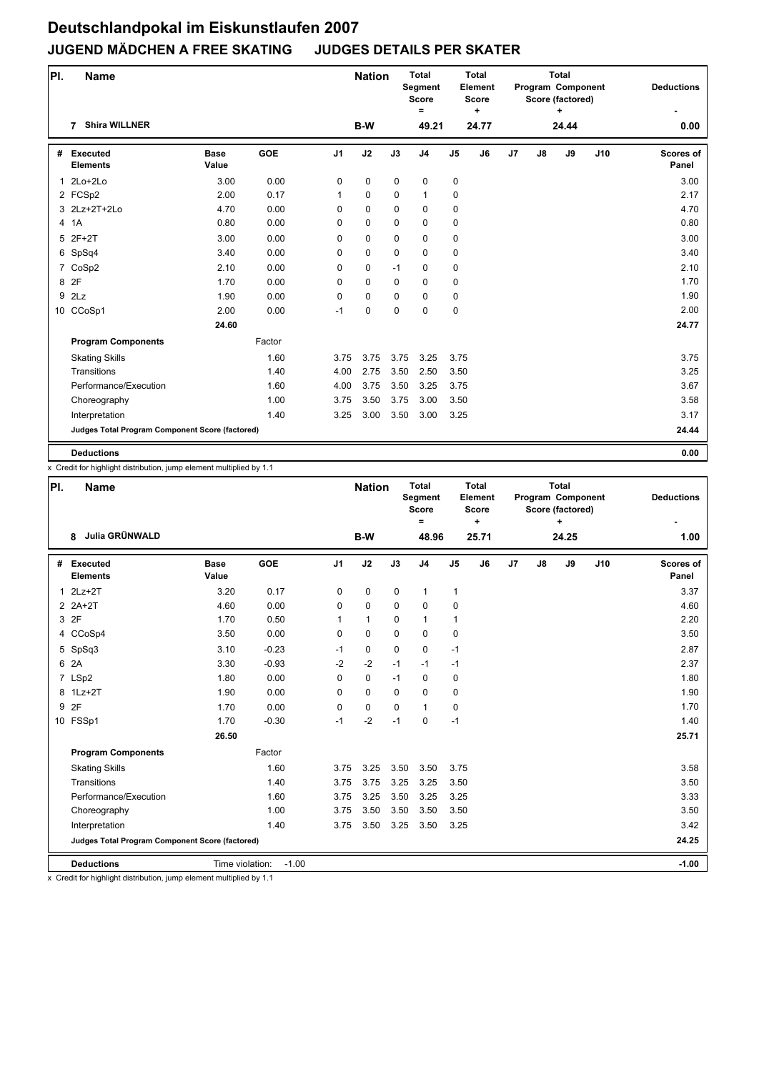| PI. | <b>Name</b>                                     |                      |            |                | <b>Nation</b> |             | <b>Total</b><br>Segment<br><b>Score</b><br>$\equiv$ |                | Total<br>Element<br>Score<br>÷ |    |               | <b>Total</b><br>Program Component<br>Score (factored)<br>÷ |     | <b>Deductions</b>         |
|-----|-------------------------------------------------|----------------------|------------|----------------|---------------|-------------|-----------------------------------------------------|----------------|--------------------------------|----|---------------|------------------------------------------------------------|-----|---------------------------|
|     | <b>Shira WILLNER</b><br>7                       |                      |            |                | B-W           |             | 49.21                                               |                | 24.77                          |    |               | 24.44                                                      |     | 0.00                      |
| #   | <b>Executed</b><br><b>Elements</b>              | <b>Base</b><br>Value | <b>GOE</b> | J <sub>1</sub> | J2            | J3          | J <sub>4</sub>                                      | J <sub>5</sub> | J6                             | J7 | $\mathsf{J}8$ | J9                                                         | J10 | <b>Scores of</b><br>Panel |
|     | 1 2Lo+2Lo                                       | 3.00                 | 0.00       | 0              | 0             | $\mathbf 0$ | $\mathbf 0$                                         | 0              |                                |    |               |                                                            |     | 3.00                      |
|     | 2 FCSp2                                         | 2.00                 | 0.17       | 1              | 0             | $\mathbf 0$ | $\mathbf{1}$                                        | 0              |                                |    |               |                                                            |     | 2.17                      |
|     | 3 2Lz+2T+2Lo                                    | 4.70                 | 0.00       | 0              | 0             | 0           | $\mathbf 0$                                         | 0              |                                |    |               |                                                            |     | 4.70                      |
|     | 4 1A                                            | 0.80                 | 0.00       | 0              | 0             | 0           | $\mathbf 0$                                         | 0              |                                |    |               |                                                            |     | 0.80                      |
| 5   | $2F+2T$                                         | 3.00                 | 0.00       | 0              | 0             | $\Omega$    | $\mathbf 0$                                         | 0              |                                |    |               |                                                            |     | 3.00                      |
|     | 6 SpSq4                                         | 3.40                 | 0.00       | 0              | 0             | $\Omega$    | $\mathbf 0$                                         | 0              |                                |    |               |                                                            |     | 3.40                      |
|     | 7 CoSp2                                         | 2.10                 | 0.00       | 0              | 0             | $-1$        | $\mathbf 0$                                         | 0              |                                |    |               |                                                            |     | 2.10                      |
|     | 8 2F                                            | 1.70                 | 0.00       | 0              | 0             | $\mathbf 0$ | $\mathbf 0$                                         | 0              |                                |    |               |                                                            |     | 1.70                      |
| 9   | 2Lz                                             | 1.90                 | 0.00       | 0              | 0             | 0           | $\mathbf 0$                                         | 0              |                                |    |               |                                                            |     | 1.90                      |
|     | 10 CCoSp1                                       | 2.00                 | 0.00       | $-1$           | 0             | 0           | $\mathbf 0$                                         | 0              |                                |    |               |                                                            |     | 2.00                      |
|     |                                                 | 24.60                |            |                |               |             |                                                     |                |                                |    |               |                                                            |     | 24.77                     |
|     | <b>Program Components</b>                       |                      | Factor     |                |               |             |                                                     |                |                                |    |               |                                                            |     |                           |
|     | <b>Skating Skills</b>                           |                      | 1.60       | 3.75           | 3.75          | 3.75        | 3.25                                                | 3.75           |                                |    |               |                                                            |     | 3.75                      |
|     | Transitions                                     |                      | 1.40       | 4.00           | 2.75          | 3.50        | 2.50                                                | 3.50           |                                |    |               |                                                            |     | 3.25                      |
|     | Performance/Execution                           |                      | 1.60       | 4.00           | 3.75          | 3.50        | 3.25                                                | 3.75           |                                |    |               |                                                            |     | 3.67                      |
|     | Choreography                                    |                      | 1.00       | 3.75           | 3.50          | 3.75        | 3.00                                                | 3.50           |                                |    |               |                                                            |     | 3.58                      |
|     | Interpretation                                  |                      | 1.40       | 3.25           | 3.00          | 3.50        | 3.00                                                | 3.25           |                                |    |               |                                                            |     | 3.17                      |
|     | Judges Total Program Component Score (factored) |                      |            |                |               |             |                                                     |                |                                |    |               |                                                            |     | 24.44                     |
|     | <b>Deductions</b>                               |                      |            |                |               |             |                                                     |                |                                |    |               |                                                            |     | 0.00                      |

x Credit for highlight distribution, jump element multiplied by 1.1

| PI.          | <b>Name</b>                                     |                      |            |                | <b>Nation</b> |             | <b>Total</b><br>Segment<br><b>Score</b><br>$\equiv$ |                | Total<br>Element<br><b>Score</b><br>÷ |    |    | <b>Total</b><br>Program Component<br>Score (factored)<br>÷ |     | <b>Deductions</b>         |
|--------------|-------------------------------------------------|----------------------|------------|----------------|---------------|-------------|-----------------------------------------------------|----------------|---------------------------------------|----|----|------------------------------------------------------------|-----|---------------------------|
|              | Julia GRÜNWALD<br>8                             |                      |            |                | B-W           |             | 48.96                                               |                | 25.71                                 |    |    | 24.25                                                      |     | 1.00                      |
| #            | <b>Executed</b><br><b>Elements</b>              | <b>Base</b><br>Value | <b>GOE</b> | J <sub>1</sub> | J2            | J3          | J <sub>4</sub>                                      | J <sub>5</sub> | J6                                    | J7 | J8 | J9                                                         | J10 | <b>Scores of</b><br>Panel |
| $\mathbf{1}$ | $2Lz+2T$                                        | 3.20                 | 0.17       | 0              | $\mathbf 0$   | $\mathbf 0$ | $\mathbf{1}$                                        | 1              |                                       |    |    |                                                            |     | 3.37                      |
|              | $2$ $2A+2T$                                     | 4.60                 | 0.00       | $\mathbf 0$    | $\mathbf 0$   | $\mathbf 0$ | $\mathbf 0$                                         | 0              |                                       |    |    |                                                            |     | 4.60                      |
|              | 3 2F                                            | 1.70                 | 0.50       | 1              | $\mathbf{1}$  | 0           | $\mathbf{1}$                                        | 1              |                                       |    |    |                                                            |     | 2.20                      |
|              | 4 CCoSp4                                        | 3.50                 | 0.00       | $\mathbf 0$    | $\mathbf 0$   | $\mathbf 0$ | $\mathbf 0$                                         | 0              |                                       |    |    |                                                            |     | 3.50                      |
|              | 5 SpSq3                                         | 3.10                 | $-0.23$    | $-1$           | 0             | $\Omega$    | $\mathbf 0$                                         | $-1$           |                                       |    |    |                                                            |     | 2.87                      |
|              | 6 2A                                            | 3.30                 | $-0.93$    | $-2$           | $-2$          | $-1$        | $-1$                                                | $-1$           |                                       |    |    |                                                            |     | 2.37                      |
|              | 7 LSp2                                          | 1.80                 | 0.00       | 0              | 0             | $-1$        | $\mathbf 0$                                         | 0              |                                       |    |    |                                                            |     | 1.80                      |
|              | 8 1Lz+2T                                        | 1.90                 | 0.00       | $\Omega$       | $\mathbf 0$   | $\Omega$    | $\mathbf 0$                                         | 0              |                                       |    |    |                                                            |     | 1.90                      |
|              | 9 2F                                            | 1.70                 | 0.00       | $\mathbf 0$    | $\mathbf 0$   | $\Omega$    | $\mathbf{1}$                                        | 0              |                                       |    |    |                                                            |     | 1.70                      |
|              | 10 FSSp1                                        | 1.70                 | $-0.30$    | $-1$           | $-2$          | $-1$        | $\mathbf 0$                                         | $-1$           |                                       |    |    |                                                            |     | 1.40                      |
|              |                                                 | 26.50                |            |                |               |             |                                                     |                |                                       |    |    |                                                            |     | 25.71                     |
|              | <b>Program Components</b>                       |                      | Factor     |                |               |             |                                                     |                |                                       |    |    |                                                            |     |                           |
|              | <b>Skating Skills</b>                           |                      | 1.60       | 3.75           | 3.25          | 3.50        | 3.50                                                | 3.75           |                                       |    |    |                                                            |     | 3.58                      |
|              | Transitions                                     |                      | 1.40       | 3.75           | 3.75          | 3.25        | 3.25                                                | 3.50           |                                       |    |    |                                                            |     | 3.50                      |
|              | Performance/Execution                           |                      | 1.60       | 3.75           | 3.25          | 3.50        | 3.25                                                | 3.25           |                                       |    |    |                                                            |     | 3.33                      |
|              | Choreography                                    |                      | 1.00       | 3.75           | 3.50          | 3.50        | 3.50                                                | 3.50           |                                       |    |    |                                                            |     | 3.50                      |
|              | Interpretation                                  |                      | 1.40       | 3.75           | 3.50          | 3.25        | 3.50                                                | 3.25           |                                       |    |    |                                                            |     | 3.42                      |
|              | Judges Total Program Component Score (factored) |                      |            |                |               |             |                                                     |                |                                       |    |    |                                                            |     | 24.25                     |
|              | <b>Deductions</b>                               | Time violation:      | $-1.00$    |                |               |             |                                                     |                |                                       |    |    |                                                            |     | $-1.00$                   |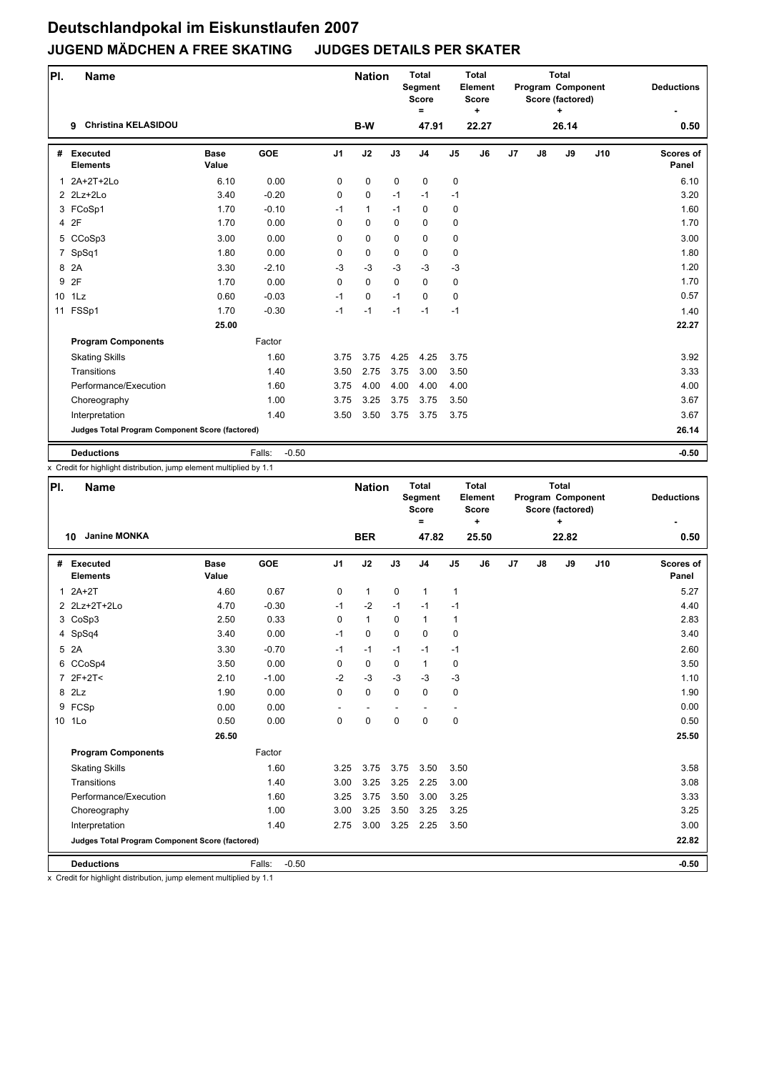| PI.             | <b>Name</b>                                     |                      |                   |                | <b>Nation</b> |             | <b>Total</b><br>Segment<br><b>Score</b><br>$=$ |                | <b>Total</b><br>Element<br><b>Score</b><br>٠ |    |               | <b>Total</b><br>Program Component<br>Score (factored)<br>÷ |     | <b>Deductions</b>         |
|-----------------|-------------------------------------------------|----------------------|-------------------|----------------|---------------|-------------|------------------------------------------------|----------------|----------------------------------------------|----|---------------|------------------------------------------------------------|-----|---------------------------|
|                 | <b>Christina KELASIDOU</b><br>9                 |                      |                   |                | B-W           |             | 47.91                                          |                | 22.27                                        |    |               | 26.14                                                      |     | 0.50                      |
| #               | <b>Executed</b><br><b>Elements</b>              | <b>Base</b><br>Value | <b>GOE</b>        | J <sub>1</sub> | J2            | J3          | J <sub>4</sub>                                 | J <sub>5</sub> | J6                                           | J7 | $\mathsf{J}8$ | J9                                                         | J10 | <b>Scores of</b><br>Panel |
|                 | 1 2A+2T+2Lo                                     | 6.10                 | 0.00              | 0              | 0             | $\mathbf 0$ | $\mathbf 0$                                    | 0              |                                              |    |               |                                                            |     | 6.10                      |
|                 | $2$ $2$ Lz+ $2$ Lo                              | 3.40                 | $-0.20$           | 0              | 0             | $-1$        | $-1$                                           | $-1$           |                                              |    |               |                                                            |     | 3.20                      |
|                 | 3 FCoSp1                                        | 1.70                 | $-0.10$           | $-1$           | $\mathbf{1}$  | $-1$        | 0                                              | 0              |                                              |    |               |                                                            |     | 1.60                      |
|                 | 4 2F                                            | 1.70                 | 0.00              | 0              | 0             | $\Omega$    | $\mathbf 0$                                    | 0              |                                              |    |               |                                                            |     | 1.70                      |
|                 | 5 CCoSp3                                        | 3.00                 | 0.00              | 0              | 0             | 0           | $\mathbf 0$                                    | 0              |                                              |    |               |                                                            |     | 3.00                      |
| $\overline{7}$  | SpSq1                                           | 1.80                 | 0.00              | 0              | 0             | $\Omega$    | $\mathbf 0$                                    | 0              |                                              |    |               |                                                            |     | 1.80                      |
| 8               | 2A                                              | 3.30                 | $-2.10$           | $-3$           | $-3$          | $-3$        | $-3$                                           | $-3$           |                                              |    |               |                                                            |     | 1.20                      |
| 9               | 2F                                              | 1.70                 | 0.00              | $\Omega$       | $\Omega$      | $\Omega$    | $\Omega$                                       | 0              |                                              |    |               |                                                            |     | 1.70                      |
| 10 <sup>1</sup> | 1Lz                                             | 0.60                 | $-0.03$           | $-1$           | 0             | $-1$        | $\mathbf 0$                                    | 0              |                                              |    |               |                                                            |     | 0.57                      |
|                 | 11 FSSp1                                        | 1.70                 | $-0.30$           | $-1$           | $-1$          | $-1$        | $-1$                                           | $-1$           |                                              |    |               |                                                            |     | 1.40                      |
|                 |                                                 | 25.00                |                   |                |               |             |                                                |                |                                              |    |               |                                                            |     | 22.27                     |
|                 | <b>Program Components</b>                       |                      | Factor            |                |               |             |                                                |                |                                              |    |               |                                                            |     |                           |
|                 | <b>Skating Skills</b>                           |                      | 1.60              | 3.75           | 3.75          | 4.25        | 4.25                                           | 3.75           |                                              |    |               |                                                            |     | 3.92                      |
|                 | Transitions                                     |                      | 1.40              | 3.50           | 2.75          | 3.75        | 3.00                                           | 3.50           |                                              |    |               |                                                            |     | 3.33                      |
|                 | Performance/Execution                           |                      | 1.60              | 3.75           | 4.00          | 4.00        | 4.00                                           | 4.00           |                                              |    |               |                                                            |     | 4.00                      |
|                 | Choreography                                    |                      | 1.00              | 3.75           | 3.25          | 3.75        | 3.75                                           | 3.50           |                                              |    |               |                                                            |     | 3.67                      |
|                 | Interpretation                                  |                      | 1.40              | 3.50           | 3.50          | 3.75        | 3.75                                           | 3.75           |                                              |    |               |                                                            |     | 3.67                      |
|                 | Judges Total Program Component Score (factored) |                      |                   |                |               |             |                                                |                |                                              |    |               |                                                            |     | 26.14                     |
|                 | <b>Deductions</b>                               |                      | $-0.50$<br>Falls: |                |               |             |                                                |                |                                              |    |               |                                                            |     | $-0.50$                   |

x Credit for highlight distribution, jump element multiplied by 1.1

| PI.            | <b>Name</b>                                     |                      |                   |                | <b>Nation</b> |             | <b>Total</b><br><b>Segment</b><br><b>Score</b><br>$\equiv$ |                | <b>Total</b><br>Element<br><b>Score</b><br>÷ |                |    | <b>Total</b><br>Program Component<br>Score (factored)<br>$\ddot{}$ |     | <b>Deductions</b>         |
|----------------|-------------------------------------------------|----------------------|-------------------|----------------|---------------|-------------|------------------------------------------------------------|----------------|----------------------------------------------|----------------|----|--------------------------------------------------------------------|-----|---------------------------|
|                | <b>Janine MONKA</b><br>10                       |                      |                   |                | <b>BER</b>    |             | 47.82                                                      |                | 25.50                                        |                |    | 22.82                                                              |     | 0.50                      |
| #              | <b>Executed</b><br><b>Elements</b>              | <b>Base</b><br>Value | <b>GOE</b>        | J <sub>1</sub> | J2            | J3          | J <sub>4</sub>                                             | J <sub>5</sub> | J6                                           | J <sub>7</sub> | J8 | J9                                                                 | J10 | <b>Scores of</b><br>Panel |
| $\mathbf 1$    | $2A+2T$                                         | 4.60                 | 0.67              | 0              | $\mathbf{1}$  | $\mathbf 0$ | $\mathbf{1}$                                               | 1              |                                              |                |    |                                                                    |     | 5.27                      |
|                | 2 2Lz+2T+2Lo                                    | 4.70                 | $-0.30$           | $-1$           | $-2$          | $-1$        | $-1$                                                       | $-1$           |                                              |                |    |                                                                    |     | 4.40                      |
|                | 3 CoSp3                                         | 2.50                 | 0.33              | $\Omega$       | $\mathbf{1}$  | $\Omega$    | $\mathbf{1}$                                               | 1              |                                              |                |    |                                                                    |     | 2.83                      |
|                | 4 SpSq4                                         | 3.40                 | 0.00              | $-1$           | $\mathbf 0$   | $\Omega$    | $\mathbf 0$                                                | 0              |                                              |                |    |                                                                    |     | 3.40                      |
| 5              | 2A                                              | 3.30                 | $-0.70$           | $-1$           | $-1$          | $-1$        | $-1$                                                       | $-1$           |                                              |                |    |                                                                    |     | 2.60                      |
|                | 6 CCoSp4                                        | 3.50                 | 0.00              | $\Omega$       | $\mathbf 0$   | $\Omega$    | $\mathbf{1}$                                               | 0              |                                              |                |    |                                                                    |     | 3.50                      |
| $\overline{7}$ | $2F+2T<$                                        | 2.10                 | $-1.00$           | $-2$           | $-3$          | $-3$        | $-3$                                                       | $-3$           |                                              |                |    |                                                                    |     | 1.10                      |
|                | 8 2Lz                                           | 1.90                 | 0.00              | 0              | 0             | $\mathbf 0$ | $\mathbf 0$                                                | 0              |                                              |                |    |                                                                    |     | 1.90                      |
| 9              | FCSp                                            | 0.00                 | 0.00              |                |               |             |                                                            |                |                                              |                |    |                                                                    |     | 0.00                      |
|                | 10 1Lo                                          | 0.50                 | 0.00              | $\Omega$       | $\Omega$      | $\Omega$    | $\Omega$                                                   | 0              |                                              |                |    |                                                                    |     | 0.50                      |
|                |                                                 | 26.50                |                   |                |               |             |                                                            |                |                                              |                |    |                                                                    |     | 25.50                     |
|                | <b>Program Components</b>                       |                      | Factor            |                |               |             |                                                            |                |                                              |                |    |                                                                    |     |                           |
|                | <b>Skating Skills</b>                           |                      | 1.60              | 3.25           | 3.75          | 3.75        | 3.50                                                       | 3.50           |                                              |                |    |                                                                    |     | 3.58                      |
|                | Transitions                                     |                      | 1.40              | 3.00           | 3.25          | 3.25        | 2.25                                                       | 3.00           |                                              |                |    |                                                                    |     | 3.08                      |
|                | Performance/Execution                           |                      | 1.60              | 3.25           | 3.75          | 3.50        | 3.00                                                       | 3.25           |                                              |                |    |                                                                    |     | 3.33                      |
|                | Choreography                                    |                      | 1.00              | 3.00           | 3.25          | 3.50        | 3.25                                                       | 3.25           |                                              |                |    |                                                                    |     | 3.25                      |
|                | Interpretation                                  |                      | 1.40              | 2.75           | 3.00          | 3.25        | 2.25                                                       | 3.50           |                                              |                |    |                                                                    |     | 3.00                      |
|                | Judges Total Program Component Score (factored) |                      |                   |                |               |             |                                                            |                |                                              |                |    |                                                                    |     | 22.82                     |
|                | <b>Deductions</b>                               |                      | $-0.50$<br>Falls: |                |               |             |                                                            |                |                                              |                |    |                                                                    |     | $-0.50$                   |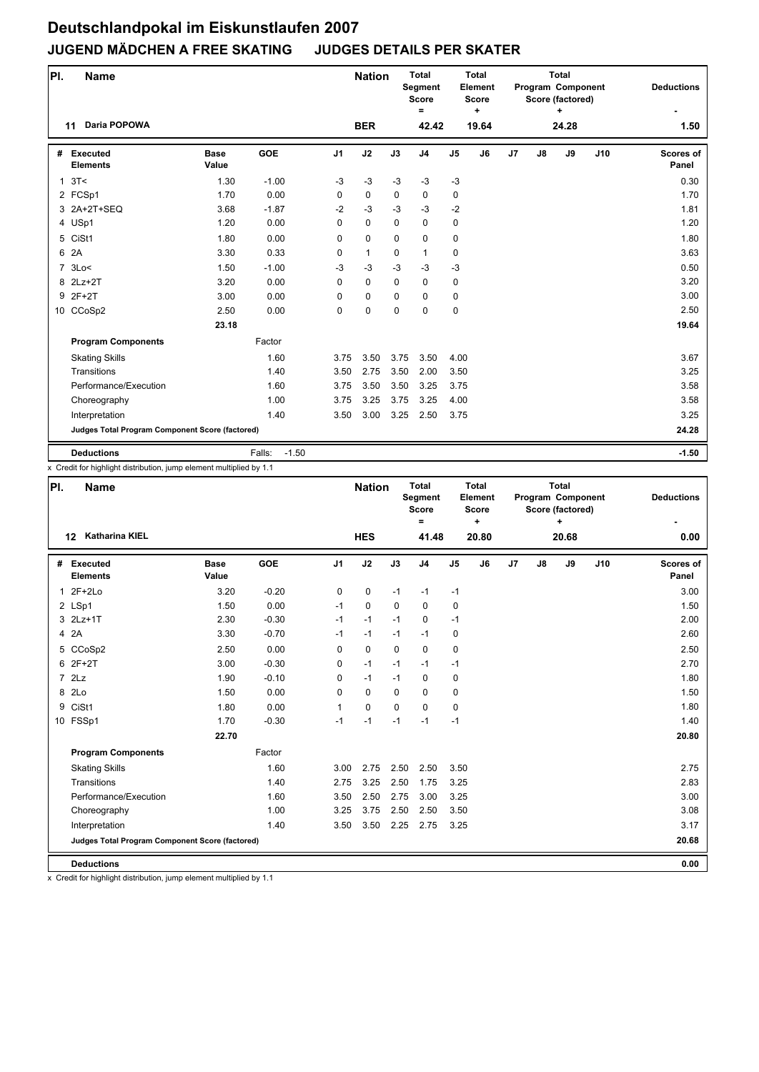| PI.            | <b>Name</b>                                     |                      |                   |                | <b>Nation</b> |             | <b>Total</b><br>Segment<br><b>Score</b><br>$\equiv$ |                | <b>Total</b><br>Element<br>Score<br>٠ |    |               | <b>Total</b><br>Program Component<br>Score (factored)<br>÷ |     | <b>Deductions</b>         |
|----------------|-------------------------------------------------|----------------------|-------------------|----------------|---------------|-------------|-----------------------------------------------------|----------------|---------------------------------------|----|---------------|------------------------------------------------------------|-----|---------------------------|
|                | Daria POPOWA<br>11                              |                      |                   |                | <b>BER</b>    |             | 42.42                                               |                | 19.64                                 |    |               | 24.28                                                      |     | 1.50                      |
| #              | <b>Executed</b><br><b>Elements</b>              | <b>Base</b><br>Value | <b>GOE</b>        | J <sub>1</sub> | J2            | J3          | J <sub>4</sub>                                      | J <sub>5</sub> | J6                                    | J7 | $\mathsf{J}8$ | J9                                                         | J10 | <b>Scores of</b><br>Panel |
| $\mathbf{1}$   | 3T<                                             | 1.30                 | $-1.00$           | $-3$           | $-3$          | $-3$        | $-3$                                                | $-3$           |                                       |    |               |                                                            |     | 0.30                      |
|                | 2 FCSp1                                         | 1.70                 | 0.00              | $\mathbf 0$    | 0             | $\mathbf 0$ | 0                                                   | 0              |                                       |    |               |                                                            |     | 1.70                      |
|                | 3 2A+2T+SEQ                                     | 3.68                 | $-1.87$           | $-2$           | $-3$          | $-3$        | $-3$                                                | $-2$           |                                       |    |               |                                                            |     | 1.81                      |
|                | 4 USp1                                          | 1.20                 | 0.00              | $\Omega$       | $\Omega$      | $\Omega$    | 0                                                   | 0              |                                       |    |               |                                                            |     | 1.20                      |
|                | 5 CiSt1                                         | 1.80                 | 0.00              | 0              | 0             | $\Omega$    | $\mathbf 0$                                         | 0              |                                       |    |               |                                                            |     | 1.80                      |
| 6              | 2A                                              | 3.30                 | 0.33              | 0              | $\mathbf{1}$  | 0           | $\mathbf{1}$                                        | 0              |                                       |    |               |                                                            |     | 3.63                      |
| $\overline{7}$ | 3Lo<                                            | 1.50                 | $-1.00$           | -3             | $-3$          | $-3$        | $-3$                                                | $-3$           |                                       |    |               |                                                            |     | 0.50                      |
|                | 8 2Lz+2T                                        | 3.20                 | 0.00              | $\Omega$       | $\Omega$      | $\Omega$    | $\mathbf 0$                                         | 0              |                                       |    |               |                                                            |     | 3.20                      |
|                | 9 2F+2T                                         | 3.00                 | 0.00              | 0              | 0             | $\Omega$    | $\Omega$                                            | 0              |                                       |    |               |                                                            |     | 3.00                      |
|                | 10 CCoSp2                                       | 2.50                 | 0.00              | 0              | $\mathbf 0$   | $\Omega$    | $\mathbf 0$                                         | 0              |                                       |    |               |                                                            |     | 2.50                      |
|                |                                                 | 23.18                |                   |                |               |             |                                                     |                |                                       |    |               |                                                            |     | 19.64                     |
|                | <b>Program Components</b>                       |                      | Factor            |                |               |             |                                                     |                |                                       |    |               |                                                            |     |                           |
|                | <b>Skating Skills</b>                           |                      | 1.60              | 3.75           | 3.50          | 3.75        | 3.50                                                | 4.00           |                                       |    |               |                                                            |     | 3.67                      |
|                | Transitions                                     |                      | 1.40              | 3.50           | 2.75          | 3.50        | 2.00                                                | 3.50           |                                       |    |               |                                                            |     | 3.25                      |
|                | Performance/Execution                           |                      | 1.60              | 3.75           | 3.50          | 3.50        | 3.25                                                | 3.75           |                                       |    |               |                                                            |     | 3.58                      |
|                | Choreography                                    |                      | 1.00              | 3.75           | 3.25          | 3.75        | 3.25                                                | 4.00           |                                       |    |               |                                                            |     | 3.58                      |
|                | Interpretation                                  |                      | 1.40              | 3.50           | 3.00          | 3.25        | 2.50                                                | 3.75           |                                       |    |               |                                                            |     | 3.25                      |
|                | Judges Total Program Component Score (factored) |                      |                   |                |               |             |                                                     |                |                                       |    |               |                                                            |     | 24.28                     |
|                | <b>Deductions</b>                               |                      | $-1.50$<br>Falls: |                |               |             |                                                     |                |                                       |    |               |                                                            |     | $-1.50$                   |

x Credit for highlight distribution, jump element multiplied by 1.1

| PI. | <b>Name</b>                                     |                      |            |                | <b>Nation</b> |             | <b>Total</b><br>Segment<br><b>Score</b><br>$=$ |                | <b>Total</b><br>Element<br>Score<br>÷ |    |    | <b>Total</b><br>Program Component<br>Score (factored)<br>÷ |     | <b>Deductions</b>         |
|-----|-------------------------------------------------|----------------------|------------|----------------|---------------|-------------|------------------------------------------------|----------------|---------------------------------------|----|----|------------------------------------------------------------|-----|---------------------------|
|     | <b>Katharina KIEL</b><br>$12 \,$                |                      |            |                | <b>HES</b>    |             | 41.48                                          |                | 20.80                                 |    |    | 20.68                                                      |     | 0.00                      |
| #   | Executed<br><b>Elements</b>                     | <b>Base</b><br>Value | <b>GOE</b> | J <sub>1</sub> | J2            | J3          | J <sub>4</sub>                                 | J <sub>5</sub> | J <sub>6</sub>                        | J7 | J8 | J9                                                         | J10 | <b>Scores of</b><br>Panel |
| 1   | $2F+2Lo$                                        | 3.20                 | $-0.20$    | 0              | 0             | $-1$        | $-1$                                           | $-1$           |                                       |    |    |                                                            |     | 3.00                      |
|     | 2 LSp1                                          | 1.50                 | 0.00       | $-1$           | $\Omega$      | $\Omega$    | $\Omega$                                       | 0              |                                       |    |    |                                                            |     | 1.50                      |
|     | 3 2Lz+1T                                        | 2.30                 | $-0.30$    | $-1$           | $-1$          | $-1$        | $\mathbf 0$                                    | $-1$           |                                       |    |    |                                                            |     | 2.00                      |
|     | 4 2A                                            | 3.30                 | $-0.70$    | $-1$           | $-1$          | $-1$        | $-1$                                           | 0              |                                       |    |    |                                                            |     | 2.60                      |
|     | 5 CCoSp2                                        | 2.50                 | 0.00       | $\Omega$       | 0             | $\mathbf 0$ | $\mathbf 0$                                    | 0              |                                       |    |    |                                                            |     | 2.50                      |
|     | 6 2F+2T                                         | 3.00                 | $-0.30$    | 0              | $-1$          | $-1$        | $-1$                                           | $-1$           |                                       |    |    |                                                            |     | 2.70                      |
|     | 72Lz                                            | 1.90                 | $-0.10$    | 0              | $-1$          | $-1$        | $\mathbf 0$                                    | 0              |                                       |    |    |                                                            |     | 1.80                      |
|     | 8 2Lo                                           | 1.50                 | 0.00       | $\Omega$       | 0             | $\mathbf 0$ | $\mathbf 0$                                    | 0              |                                       |    |    |                                                            |     | 1.50                      |
| 9   | CiSt1                                           | 1.80                 | 0.00       | $\mathbf{1}$   | 0             | $\Omega$    | $\mathbf 0$                                    | 0              |                                       |    |    |                                                            |     | 1.80                      |
|     | 10 FSSp1                                        | 1.70                 | $-0.30$    | $-1$           | $-1$          | $-1$        | $-1$                                           | $-1$           |                                       |    |    |                                                            |     | 1.40                      |
|     |                                                 | 22.70                |            |                |               |             |                                                |                |                                       |    |    |                                                            |     | 20.80                     |
|     | <b>Program Components</b>                       |                      | Factor     |                |               |             |                                                |                |                                       |    |    |                                                            |     |                           |
|     | <b>Skating Skills</b>                           |                      | 1.60       | 3.00           | 2.75          | 2.50        | 2.50                                           | 3.50           |                                       |    |    |                                                            |     | 2.75                      |
|     | Transitions                                     |                      | 1.40       | 2.75           | 3.25          | 2.50        | 1.75                                           | 3.25           |                                       |    |    |                                                            |     | 2.83                      |
|     | Performance/Execution                           |                      | 1.60       | 3.50           | 2.50          | 2.75        | 3.00                                           | 3.25           |                                       |    |    |                                                            |     | 3.00                      |
|     | Choreography                                    |                      | 1.00       | 3.25           | 3.75          | 2.50        | 2.50                                           | 3.50           |                                       |    |    |                                                            |     | 3.08                      |
|     | Interpretation                                  |                      | 1.40       | 3.50           | 3.50          | 2.25        | 2.75                                           | 3.25           |                                       |    |    |                                                            |     | 3.17                      |
|     | Judges Total Program Component Score (factored) |                      |            |                |               |             |                                                |                |                                       |    |    |                                                            |     | 20.68                     |
|     | <b>Deductions</b>                               |                      |            |                |               |             |                                                |                |                                       |    |    |                                                            |     | 0.00                      |